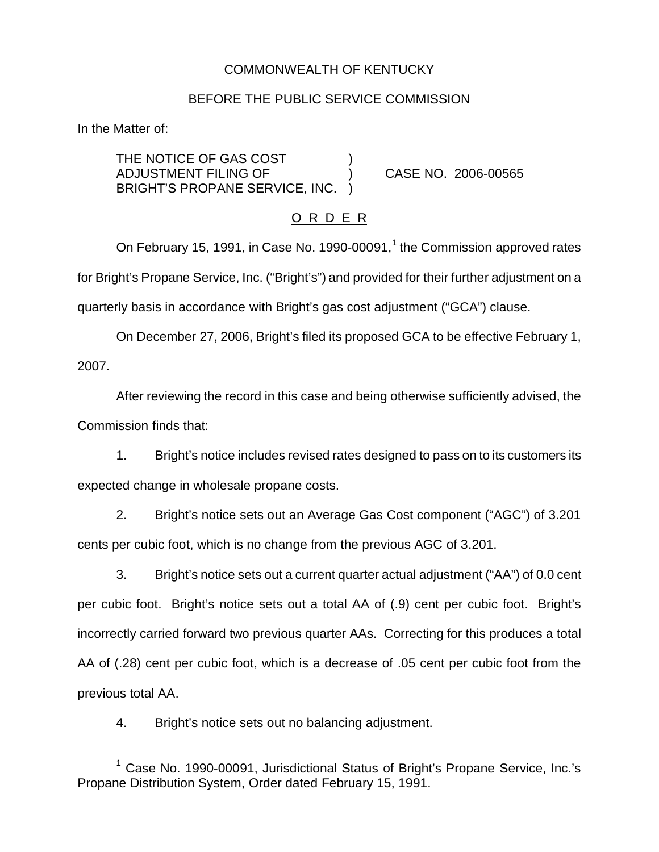## COMMONWEALTH OF KENTUCKY

### BEFORE THE PUBLIC SERVICE COMMISSION

In the Matter of:

THE NOTICE OF GAS COST ADJUSTMENT FILING OF ) CASE NO. 2006-00565 BRIGHT'S PROPANE SERVICE, INC. )

### O R D E R

On February 15, 1991, in Case No. 1990-00091, $<sup>1</sup>$  the Commission approved rates</sup> for Bright's Propane Service, Inc. ("Bright's") and provided for their further adjustment on a quarterly basis in accordance with Bright's gas cost adjustment ("GCA") clause.

On December 27, 2006, Bright's filed its proposed GCA to be effective February 1, 2007.

After reviewing the record in this case and being otherwise sufficiently advised, the Commission finds that:

1. Bright's notice includes revised rates designed to pass on to its customers its expected change in wholesale propane costs.

2. Bright's notice sets out an Average Gas Cost component ("AGC") of 3.201 cents per cubic foot, which is no change from the previous AGC of 3.201.

3. Bright's notice sets out a current quarter actual adjustment ("AA") of 0.0 cent per cubic foot. Bright's notice sets out a total AA of (.9) cent per cubic foot. Bright's incorrectly carried forward two previous quarter AAs. Correcting for this produces a total AA of (.28) cent per cubic foot, which is a decrease of .05 cent per cubic foot from the previous total AA.

4. Bright's notice sets out no balancing adjustment.

<sup>&</sup>lt;sup>1</sup> Case No. 1990-00091, Jurisdictional Status of Bright's Propane Service, Inc.'s Propane Distribution System, Order dated February 15, 1991.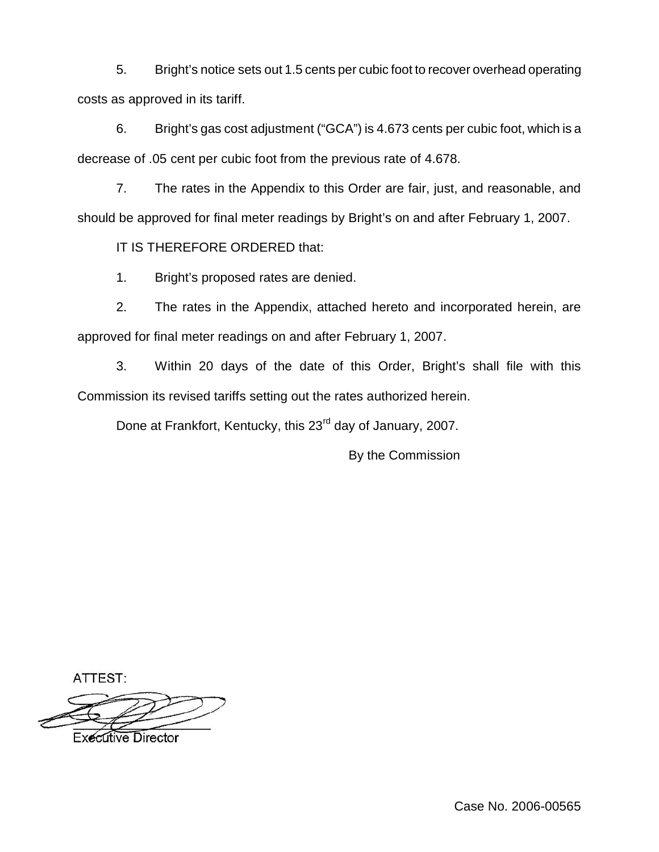5. Bright's notice sets out 1.5 cents per cubic foot to recover overhead operating costs as approved in its tariff.

6. Bright's gas cost adjustment ("GCA") is 4.673 cents per cubic foot, which is a decrease of .05 cent per cubic foot from the previous rate of 4.678.

7. The rates in the Appendix to this Order are fair, just, and reasonable, and should be approved for final meter readings by Bright's on and after February 1, 2007.

IT IS THEREFORE ORDERED that:

1. Bright's proposed rates are denied.

2. The rates in the Appendix, attached hereto and incorporated herein, are approved for final meter readings on and after February 1, 2007.

3. Within 20 days of the date of this Order, Bright's shall file with this Commission its revised tariffs setting out the rates authorized herein.

Done at Frankfort, Kentucky, this 23<sup>rd</sup> day of January, 2007.

By the Commission

ATTEST:

Executive Director